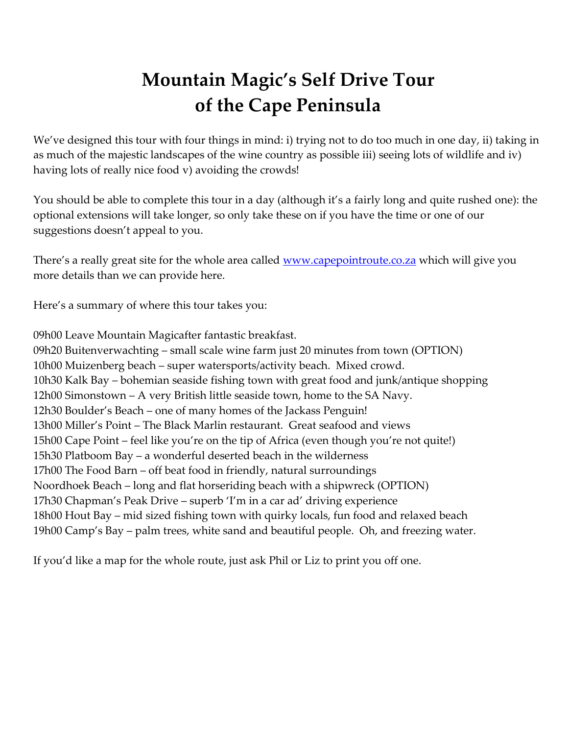# **Mountain Magic's Self Drive Tour of the Cape Peninsula**

We've designed this tour with four things in mind: i) trying not to do too much in one day, ii) taking in as much of the majestic landscapes of the wine country as possible iii) seeing lots of wildlife and iv) having lots of really nice food v) avoiding the crowds!

You should be able to complete this tour in a day (although it's a fairly long and quite rushed one): the optional extensions will take longer, so only take these on if you have the time or one of our suggestions doesn't appeal to you.

There's a really great site for the whole area called **[www.capepointroute.co.za](http://www.capepointroute.co.za/)** which will give you more details than we can provide here.

Here's a summary of where this tour takes you:

09h00 Leave Mountain Magicafter fantastic breakfast. 09h20 Buitenverwachting – small scale wine farm just 20 minutes from town (OPTION) 10h00 Muizenberg beach – super watersports/activity beach. Mixed crowd. 10h30 Kalk Bay – bohemian seaside fishing town with great food and junk/antique shopping 12h00 Simonstown – A very British little seaside town, home to the SA Navy. 12h30 Boulder's Beach – one of many homes of the Jackass Penguin! 13h00 Miller's Point – The Black Marlin restaurant. Great seafood and views 15h00 Cape Point – feel like you're on the tip of Africa (even though you're not quite!) 15h30 Platboom Bay – a wonderful deserted beach in the wilderness 17h00 The Food Barn – off beat food in friendly, natural surroundings Noordhoek Beach – long and flat horseriding beach with a shipwreck (OPTION) 17h30 Chapman's Peak Drive – superb 'I'm in a car ad' driving experience 18h00 Hout Bay – mid sized fishing town with quirky locals, fun food and relaxed beach 19h00 Camp's Bay – palm trees, white sand and beautiful people. Oh, and freezing water.

If you'd like a map for the whole route, just ask Phil or Liz to print you off one.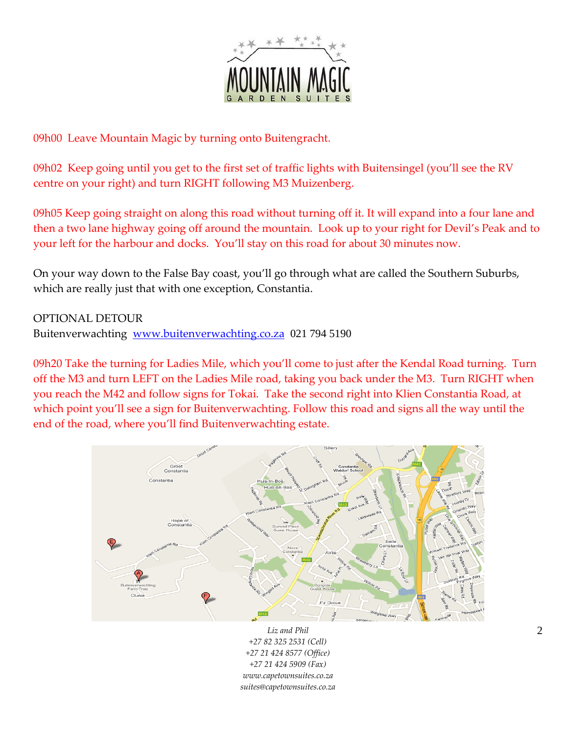

09h00 Leave Mountain Magic by turning onto Buitengracht.

09h02 Keep going until you get to the first set of traffic lights with Buitensingel (you'll see the RV centre on your right) and turn RIGHT following M3 Muizenberg.

09h05 Keep going straight on along this road without turning off it. It will expand into a four lane and then a two lane highway going off around the mountain. Look up to your right for Devil's Peak and to your left for the harbour and docks. You'll stay on this road for about 30 minutes now.

On your way down to the False Bay coast, you'll go through what are called the Southern Suburbs, which are really just that with one exception, Constantia.

OPTIONAL DETOUR

Buitenverwachting [www.buitenverwachting.co.za](http://www.buitenverwachting.co.za/) 021 794 5190

09h20 Take the turning for Ladies Mile, which you'll come to just after the Kendal Road turning. Turn off the M3 and turn LEFT on the Ladies Mile road, taking you back under the M3. Turn RIGHT when you reach the M42 and follow signs for Tokai. Take the second right into Klien Constantia Road, at which point you'll see a sign for Buitenverwachting. Follow this road and signs all the way until the end of the road, where you'll find Buitenverwachting estate.

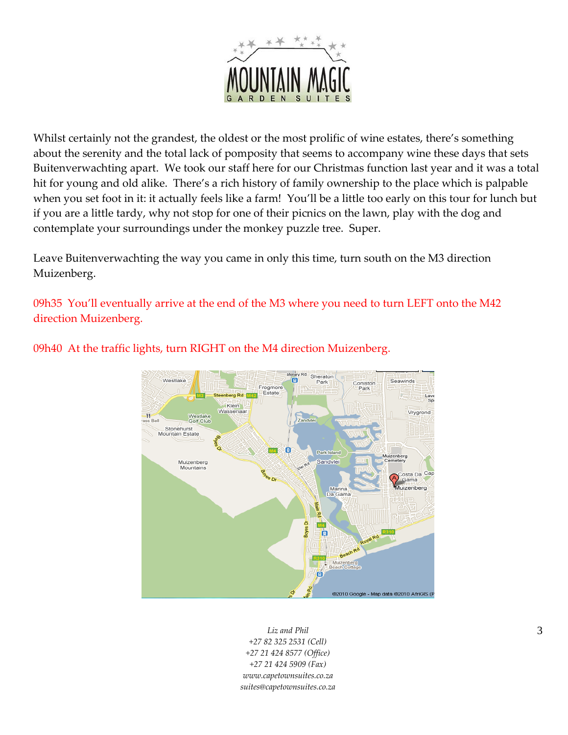

Whilst certainly not the grandest, the oldest or the most prolific of wine estates, there's something about the serenity and the total lack of pomposity that seems to accompany wine these days that sets Buitenverwachting apart. We took our staff here for our Christmas function last year and it was a total hit for young and old alike. There's a rich history of family ownership to the place which is palpable when you set foot in it: it actually feels like a farm! You'll be a little too early on this tour for lunch but if you are a little tardy, why not stop for one of their picnics on the lawn, play with the dog and contemplate your surroundings under the monkey puzzle tree. Super.

Leave Buitenverwachting the way you came in only this time, turn south on the M3 direction Muizenberg.

09h35 You'll eventually arrive at the end of the M3 where you need to turn LEFT onto the M42 direction Muizenberg.



09h40 At the traffic lights, turn RIGHT on the M4 direction Muizenberg.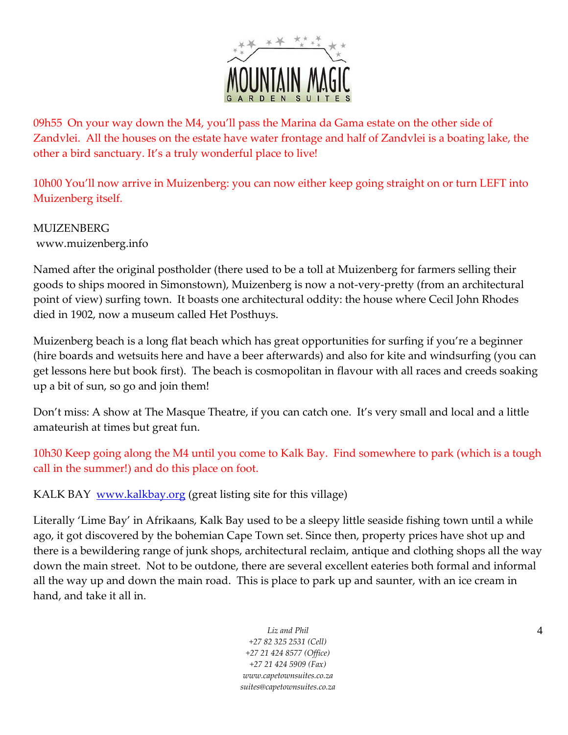

09h55 On your way down the M4, you'll pass the Marina da Gama estate on the other side of Zandvlei. All the houses on the estate have water frontage and half of Zandvlei is a boating lake, the other a bird sanctuary. It's a truly wonderful place to live!

10h00 You'll now arrive in Muizenberg: you can now either keep going straight on or turn LEFT into Muizenberg itself.

# MUIZENBERG

www.muizenberg.info

Named after the original postholder (there used to be a toll at Muizenberg for farmers selling their goods to ships moored in Simonstown), Muizenberg is now a not-very-pretty (from an architectural point of view) surfing town. It boasts one architectural oddity: the house where Cecil John Rhodes died in 1902, now a museum called Het Posthuys.

Muizenberg beach is a long flat beach which has great opportunities for surfing if you're a beginner (hire boards and wetsuits here and have a beer afterwards) and also for kite and windsurfing (you can get lessons here but book first). The beach is cosmopolitan in flavour with all races and creeds soaking up a bit of sun, so go and join them!

Don't miss: A show at The Masque Theatre, if you can catch one. It's very small and local and a little amateurish at times but great fun.

10h30 Keep going along the M4 until you come to Kalk Bay. Find somewhere to park (which is a tough call in the summer!) and do this place on foot.

KALK BAY [www.kalkbay.org](http://www.kalkbay.org/) (great listing site for this village)

Literally 'Lime Bay' in Afrikaans, Kalk Bay used to be a sleepy little seaside fishing town until a while ago, it got discovered by the bohemian Cape Town set. Since then, property prices have shot up and there is a bewildering range of junk shops, architectural reclaim, antique and clothing shops all the way down the main street. Not to be outdone, there are several excellent eateries both formal and informal all the way up and down the main road. This is place to park up and saunter, with an ice cream in hand, and take it all in.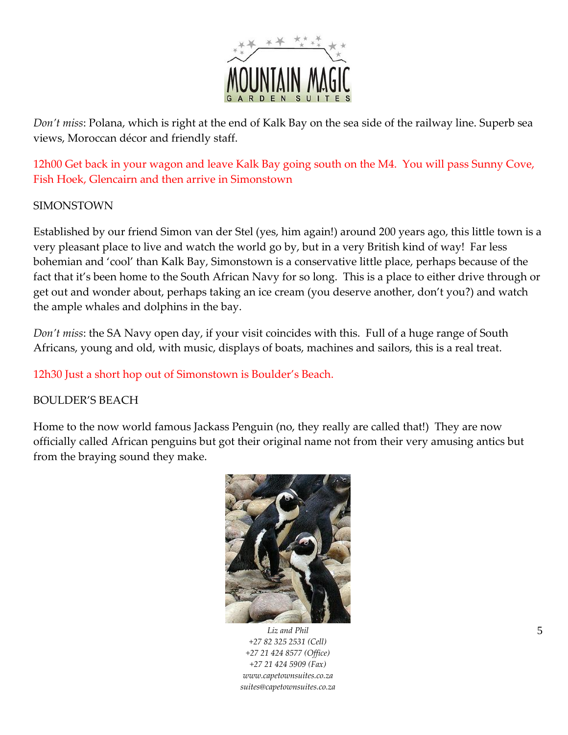

*Don't miss*: Polana, which is right at the end of Kalk Bay on the sea side of the railway line. Superb sea views, Moroccan décor and friendly staff.

12h00 Get back in your wagon and leave Kalk Bay going south on the M4. You will pass Sunny Cove, Fish Hoek, Glencairn and then arrive in Simonstown

#### SIMONSTOWN

Established by our friend Simon van der Stel (yes, him again!) around 200 years ago, this little town is a very pleasant place to live and watch the world go by, but in a very British kind of way! Far less bohemian and 'cool' than Kalk Bay, Simonstown is a conservative little place, perhaps because of the fact that it's been home to the South African Navy for so long. This is a place to either drive through or get out and wonder about, perhaps taking an ice cream (you deserve another, don't you?) and watch the ample whales and dolphins in the bay.

*Don't miss*: the SA Navy open day, if your visit coincides with this. Full of a huge range of South Africans, young and old, with music, displays of boats, machines and sailors, this is a real treat.

12h30 Just a short hop out of Simonstown is Boulder's Beach.

#### BOULDER'S BEACH

Home to the now world famous Jackass Penguin (no, they really are called that!) They are now officially called African penguins but got their original name not from their very amusing antics but from the braying sound they make.

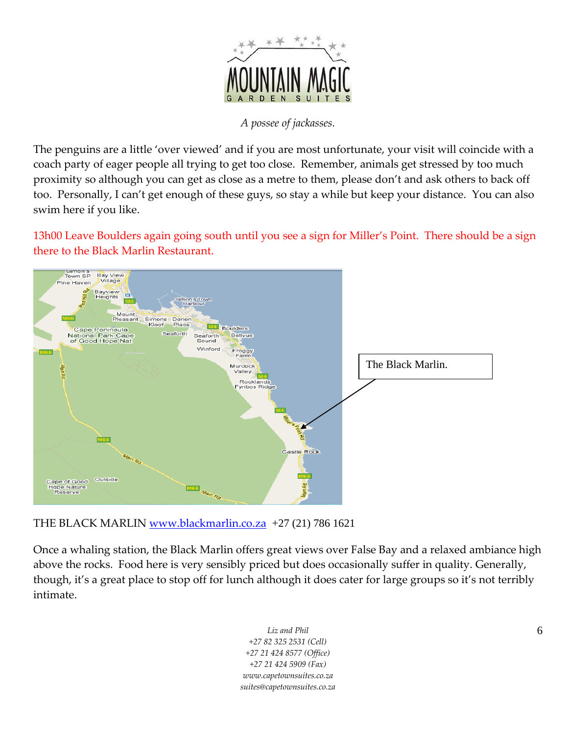

*A possee of jackasses.*

The penguins are a little 'over viewed' and if you are most unfortunate, your visit will coincide with a coach party of eager people all trying to get too close. Remember, animals get stressed by too much proximity so although you can get as close as a metre to them, please don't and ask others to back off too. Personally, I can't get enough of these guys, so stay a while but keep your distance. You can also swim here if you like.

13h00 Leave Boulders again going south until you see a sign for Miller's Point. There should be a sign there to the Black Marlin Restaurant.



THE BLACK MARLIN [www.blackmarlin.co.za](http://www.blackmarlin.co.za/) +27 (21) 786 1621

Once a whaling station, the Black Marlin offers great views over False Bay and a relaxed ambiance high above the rocks. Food here is very sensibly priced but does occasionally suffer in quality. Generally, though, it's a great place to stop off for lunch although it does cater for large groups so it's not terribly intimate.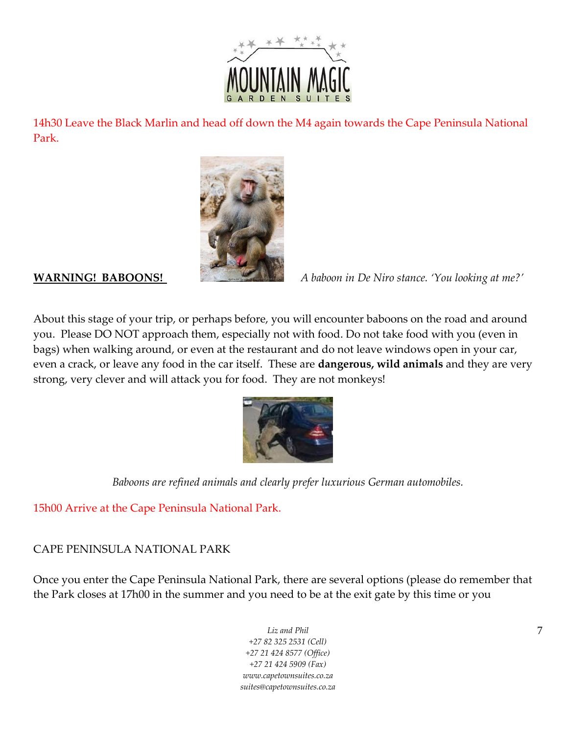

14h30 Leave the Black Marlin and head off down the M4 again towards the Cape Peninsula National Park.



**WARNING! BABOONS!** *A baboon in De Niro stance. 'You looking at me?'*

About this stage of your trip, or perhaps before, you will encounter baboons on the road and around you. Please DO NOT approach them, especially not with food. Do not take food with you (even in bags) when walking around, or even at the restaurant and do not leave windows open in your car, even a crack, or leave any food in the car itself. These are **dangerous, wild animals** and they are very strong, very clever and will attack you for food. They are not monkeys!



*Baboons are refined animals and clearly prefer luxurious German automobiles.*

15h00 Arrive at the Cape Peninsula National Park.

# CAPE PENINSULA NATIONAL PARK

Once you enter the Cape Peninsula National Park, there are several options (please do remember that the Park closes at 17h00 in the summer and you need to be at the exit gate by this time or you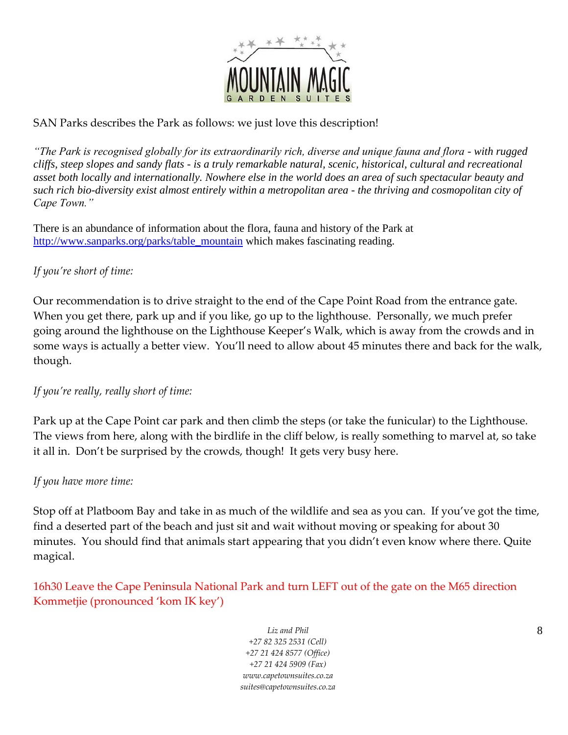

## SAN Parks describes the Park as follows: we just love this description!

*"The Park is recognised globally for its extraordinarily rich, diverse and unique fauna and flora - with rugged cliffs, steep slopes and sandy flats - is a truly remarkable natural, scenic, historical, cultural and recreational asset both locally and internationally. Nowhere else in the world does an area of such spectacular beauty and such rich bio-diversity exist almost entirely within a metropolitan area - the thriving and cosmopolitan city of Cape Town."* 

There is an abundance of information about the flora, fauna and history of the Park at [http://www.sanparks.org/parks/table\\_mountain](http://www.sanparks.org/parks/table_mountain) which makes fascinating reading.

### *If you're short of time:*

Our recommendation is to drive straight to the end of the Cape Point Road from the entrance gate. When you get there, park up and if you like, go up to the lighthouse. Personally, we much prefer going around the lighthouse on the Lighthouse Keeper's Walk, which is away from the crowds and in some ways is actually a better view. You'll need to allow about 45 minutes there and back for the walk, though.

#### *If you're really, really short of time:*

Park up at the Cape Point car park and then climb the steps (or take the funicular) to the Lighthouse. The views from here, along with the birdlife in the cliff below, is really something to marvel at, so take it all in. Don't be surprised by the crowds, though! It gets very busy here.

#### *If you have more time:*

Stop off at Platboom Bay and take in as much of the wildlife and sea as you can. If you've got the time, find a deserted part of the beach and just sit and wait without moving or speaking for about 30 minutes. You should find that animals start appearing that you didn't even know where there. Quite magical.

16h30 Leave the Cape Peninsula National Park and turn LEFT out of the gate on the M65 direction Kommetjie (pronounced 'kom IK key')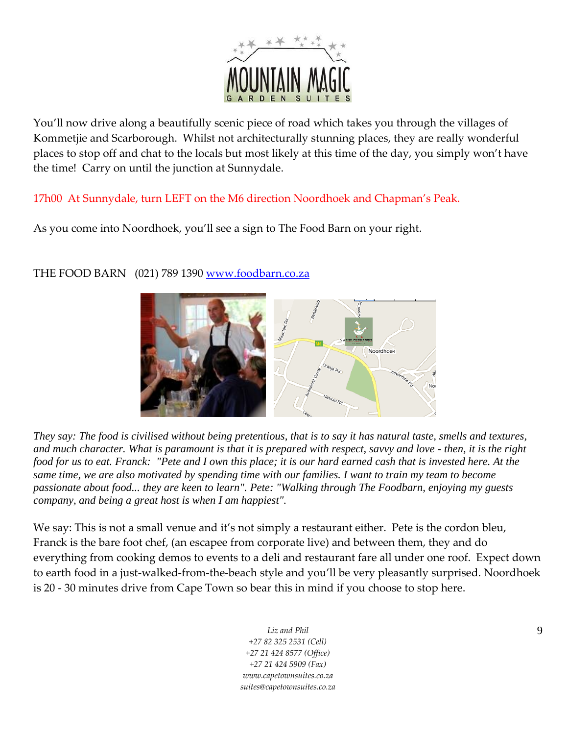

You'll now drive along a beautifully scenic piece of road which takes you through the villages of Kommetjie and Scarborough. Whilst not architecturally stunning places, they are really wonderful places to stop off and chat to the locals but most likely at this time of the day, you simply won't have the time! Carry on until the junction at Sunnydale.

17h00 At Sunnydale, turn LEFT on the M6 direction Noordhoek and Chapman's Peak.

As you come into Noordhoek, you'll see a sign to The Food Barn on your right.



THE FOOD BARN (021) 789 1390 [www.foodbarn.co.za](http://www.foodbarn.co.za/)

*They say: The food is civilised without being pretentious, that is to say it has natural taste, smells and textures, and much character. What is paramount is that it is prepared with respect, savvy and love - then, it is the right food for us to eat. Franck: "Pete and I own this place; it is our hard earned cash that is invested here. At the same time, we are also motivated by spending time with our families. I want to train my team to become passionate about food... they are keen to learn". Pete: "Walking through The Foodbarn, enjoying my guests company, and being a great host is when I am happiest".*

We say: This is not a small venue and it's not simply a restaurant either. Pete is the cordon bleu, Franck is the bare foot chef, (an escapee from corporate live) and between them, they and do everything from cooking demos to events to a deli and restaurant fare all under one roof. Expect down to earth food in a just-walked-from-the-beach style and you'll be very pleasantly surprised. Noordhoek is 20 - 30 minutes drive from Cape Town so bear this in mind if you choose to stop here.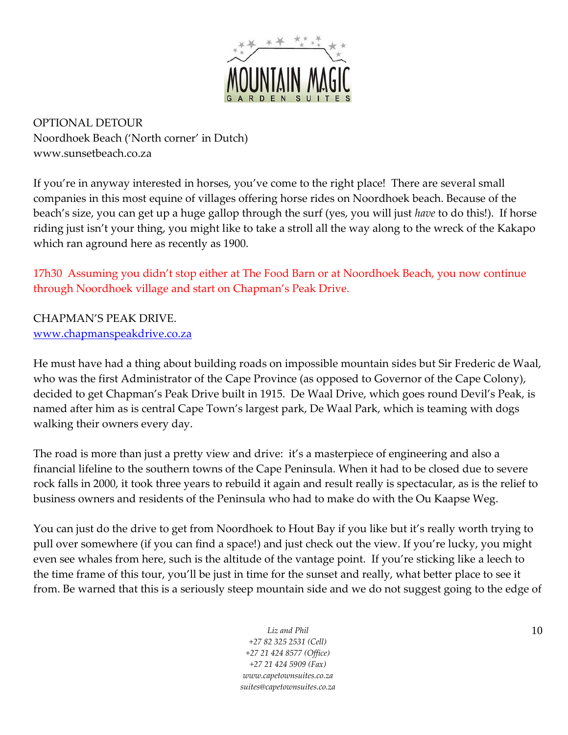

OPTIONAL DETOUR Noordhoek Beach ('North corner' in Dutch) www.sunsetbeach.co.za

If you're in anyway interested in horses, you've come to the right place! There are several small companies in this most equine of villages offering horse rides on Noordhoek beach. Because of the beach's size, you can get up a huge gallop through the surf (yes, you will just *have* to do this!). If horse riding just isn't your thing, you might like to take a stroll all the way along to the wreck of the Kakapo which ran aground here as recently as 1900.

17h30 Assuming you didn't stop either at The Food Barn or at Noordhoek Beach, you now continue through Noordhoek village and start on Chapman's Peak Drive.

CHAPMAN'S PEAK DRIVE. [www.chapmanspeakdrive.co.za](http://www.chapmanspeakdrive.co.za/)

He must have had a thing about building roads on impossible mountain sides but Sir Frederic de Waal, who was the first Administrator of the Cape Province (as opposed to Governor of the Cape Colony), decided to get Chapman's Peak Drive built in 1915. De Waal Drive, which goes round Devil's Peak, is named after him as is central Cape Town's largest park, De Waal Park, which is teaming with dogs walking their owners every day.

The road is more than just a pretty view and drive: it's a masterpiece of engineering and also a financial lifeline to the southern towns of the Cape Peninsula. When it had to be closed due to severe rock falls in 2000, it took three years to rebuild it again and result really is spectacular, as is the relief to business owners and residents of the Peninsula who had to make do with the Ou Kaapse Weg.

You can just do the drive to get from Noordhoek to Hout Bay if you like but it's really worth trying to pull over somewhere (if you can find a space!) and just check out the view. If you're lucky, you might even see whales from here, such is the altitude of the vantage point. If you're sticking like a leech to the time frame of this tour, you'll be just in time for the sunset and really, what better place to see it from. Be warned that this is a seriously steep mountain side and we do not suggest going to the edge of